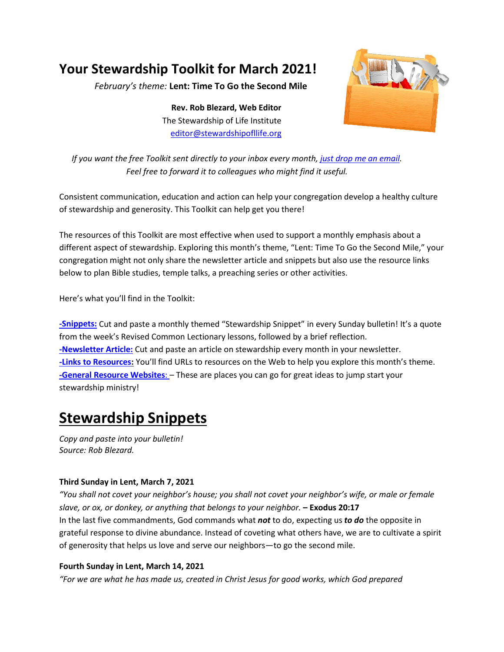# **Your Stewardship Toolkit for March 2021!**

*February's theme:* **Lent: Time To Go the Second Mile**

**Rev. Rob Blezard, Web Editor** The Stewardship of Life Institute [editor@stewardshipofllife.org](mailto:editor@stewardshipofllife.org)



*If you want the free Toolkit sent directly to your inbox every month, just drop [me an email.](mailto:editor@stewardshipoflife.org?subject=Monthly%20Toolkit%20Susbscription) Feel free to forward it to colleagues who might find it useful.*

Consistent communication, education and action can help your congregation develop a healthy culture of stewardship and generosity. This Toolkit can help get you there!

The resources of this Toolkit are most effective when used to support a monthly emphasis about a different aspect of stewardship. Exploring this month's theme, "Lent: Time To Go the Second Mile," your congregation might not only share the newsletter article and snippets but also use the resource links below to plan Bible studies, temple talks, a preaching series or other activities.

Here's what you'll find in the Toolkit:

**[-Snippets:](#page-0-0)** Cut and paste a monthly themed "Stewardship Snippet" in every Sunday bulletin! It's a quote from the week's Revised Common Lectionary lessons, followed by a brief reflection. **[-Newsletter Article:](#page-2-0)** Cut and paste an article on stewardship every month in your newsletter. **[-Links to Resources:](#page-3-0)** You'll find URLs to resources on the Web to help you explore this month's theme. **[-General Resource Websites](#page-3-1)**: – These are places you can go for great ideas to jump start your stewardship ministry!

# <span id="page-0-0"></span>**Stewardship Snippets**

*Copy and paste into your bulletin! Source: Rob Blezard.*

### **Third Sunday in Lent, March 7, 2021**

*"You shall not covet your neighbor's house; you shall not covet your neighbor's wife, or male or female slave, or ox, or donkey, or anything that belongs to your neighbor.* **– Exodus 20:17** In the last five commandments, God commands what *not* to do, expecting us *to do* the opposite in grateful response to divine abundance. Instead of coveting what others have, we are to cultivate a spirit of generosity that helps us love and serve our neighbors—to go the second mile.

### **Fourth Sunday in Lent, March 14, 2021**

*"For we are what he has made us, created in Christ Jesus for good works, which God prepared*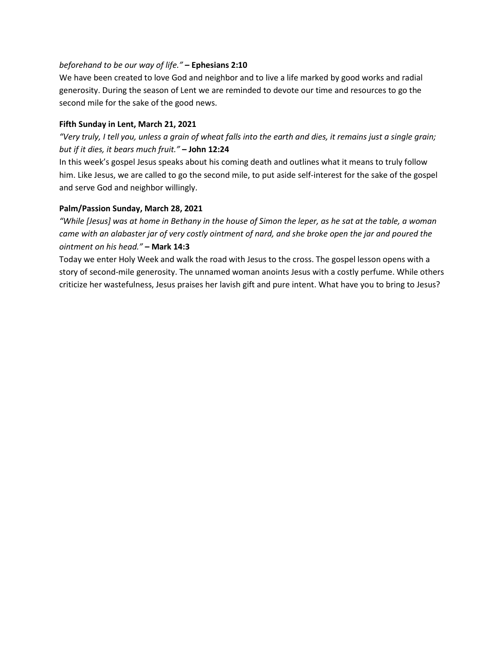#### *beforehand to be our way of life."* **– Ephesians 2:10**

We have been created to love God and neighbor and to live a life marked by good works and radial generosity. During the season of Lent we are reminded to devote our time and resources to go the second mile for the sake of the good news.

#### **Fifth Sunday in Lent, March 21, 2021**

*"Very truly, I tell you, unless a grain of wheat falls into the earth and dies, it remains just a single grain; but if it dies, it bears much fruit."* **– John 12:24**

In this week's gospel Jesus speaks about his coming death and outlines what it means to truly follow him. Like Jesus, we are called to go the second mile, to put aside self-interest for the sake of the gospel and serve God and neighbor willingly.

#### **Palm/Passion Sunday, March 28, 2021**

*"While [Jesus] was at home in Bethany in the house of Simon the leper, as he sat at the table, a woman came with an alabaster jar of very costly ointment of nard, and she broke open the jar and poured the ointment on his head."* **– Mark 14:3**

Today we enter Holy Week and walk the road with Jesus to the cross. The gospel lesson opens with a story of second-mile generosity. The unnamed woman anoints Jesus with a costly perfume. While others criticize her wastefulness, Jesus praises her lavish gift and pure intent. What have you to bring to Jesus?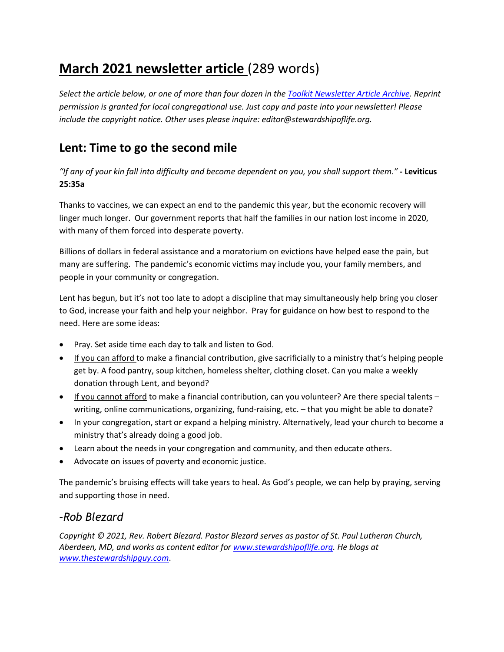## <span id="page-2-0"></span>**March 2021 newsletter article** (289 words)

*Select the article below, or one of more than four dozen in th[e Toolkit Newsletter Article Archive.](https://thestewardshipguy.com/newsletter-articles/) Reprint permission is granted for local congregational use. Just copy and paste into your newsletter! Please include the copyright notice. Other uses please inquire: editor@stewardshipoflife.org.*

### **Lent: Time to go the second mile**

*"If any of your kin fall into difficulty and become dependent on you, you shall support them."* **- Leviticus 25:35a**

Thanks to vaccines, we can expect an end to the pandemic this year, but the economic recovery will linger much longer. Our government reports that half the families in our nation lost income in 2020, with many of them forced into desperate poverty.

Billions of dollars in federal assistance and a moratorium on evictions have helped ease the pain, but many are suffering. The pandemic's economic victims may include you, your family members, and people in your community or congregation.

Lent has begun, but it's not too late to adopt a discipline that may simultaneously help bring you closer to God, increase your faith and help your neighbor. Pray for guidance on how best to respond to the need. Here are some ideas:

- Pray. Set aside time each day to talk and listen to God.
- If you can afford to make a financial contribution, give sacrificially to a ministry that's helping people get by. A food pantry, soup kitchen, homeless shelter, clothing closet. Can you make a weekly donation through Lent, and beyond?
- If you cannot afford to make a financial contribution, can you volunteer? Are there special talents writing, online communications, organizing, fund-raising, etc. – that you might be able to donate?
- In your congregation, start or expand a helping ministry. Alternatively, lead your church to become a ministry that's already doing a good job.
- Learn about the needs in your congregation and community, and then educate others.
- Advocate on issues of poverty and economic justice.

The pandemic's bruising effects will take years to heal. As God's people, we can help by praying, serving and supporting those in need.

### *–Rob Blezard*

*Copyright © 2021, Rev. Robert Blezard. Pastor Blezard serves as pastor of St. Paul Lutheran Church, Aberdeen, MD, and works as content editor for [www.stewardshipoflife.org.](http://www.stewardshipoflife.org/) He blogs at www.thestewardshipguy.com*.